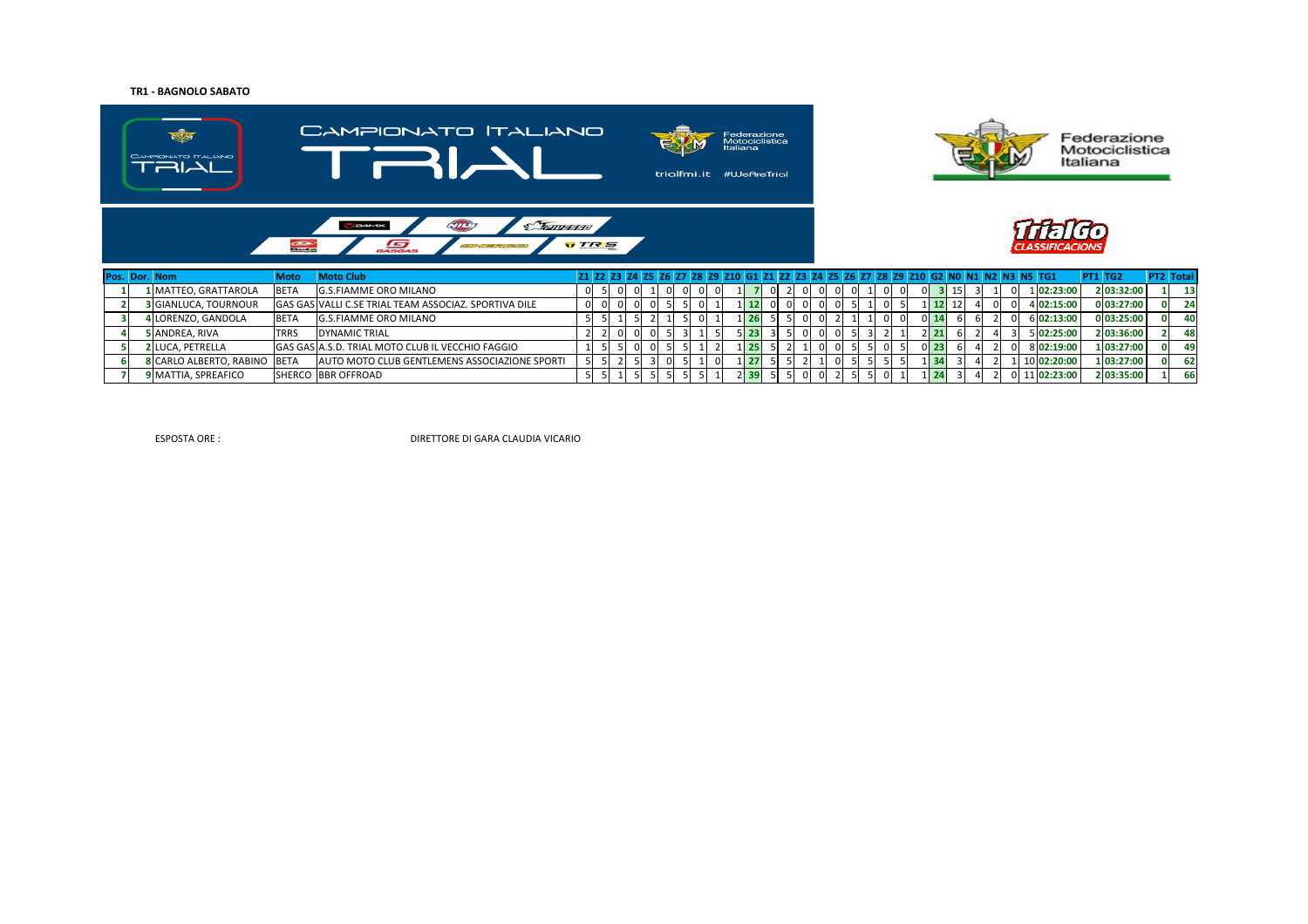# **TR1 - BAGNOLO SABATO**



|  | .                            | .           | .                                                            |  |          |          |    |  |                   |      |          |  |  |  |       |  |  |             |            |                 |
|--|------------------------------|-------------|--------------------------------------------------------------|--|----------|----------|----|--|-------------------|------|----------|--|--|--|-------|--|--|-------------|------------|-----------------|
|  | 1 MATTEO, GRATTAROLA         | <b>BETA</b> | <b>G.S.FIAMME ORO MILANO</b>                                 |  |          |          |    |  |                   |      |          |  |  |  |       |  |  | 102:23:00   | 2 03:32:00 | 13 <sup>1</sup> |
|  | <b>3 GIANLUCA, TOURNOUR</b>  |             | <b>GAS GAS VALLI C.SE TRIAL TEAM ASSOCIAZ. SPORTIVA DILE</b> |  | $\Omega$ |          |    |  | $1 \, 12$         |      | $\Omega$ |  |  |  |       |  |  | 4 02:15:00  | 0 03:27:00 |                 |
|  | 4 LORENZO, GANDOLA           | <b>BETA</b> | <b>G.S.FIAMME ORO MILANO</b>                                 |  |          |          |    |  | $1 \overline{26}$ |      |          |  |  |  |       |  |  | 6 02:13:00  | 0 03:25:00 | 40              |
|  | 5 ANDREA, RIVA               | <b>TRRS</b> | DYNAMIC TRIAL                                                |  | 01       | $\Omega$ | 3. |  | $5$ 23            | 31 5 |          |  |  |  | 21    |  |  | 5 02:25:00  | 2 03:36:00 | 48              |
|  | <b>2 LUCA. PETRELLA</b>      |             | GAS GAS A.S.D. TRIAL MOTO CLUB IL VECCHIO FAGGIO             |  |          |          |    |  | 125               |      |          |  |  |  | 0123. |  |  | 8 02:19:00  | 1 03:27:00 | 49              |
|  | 8 CARLO ALBERTO, RABINO BETA |             | AUTO MOTO CLUB GENTLEMENS ASSOCIAZIONE SPORTI                |  |          |          |    |  | 1 27              |      |          |  |  |  |       |  |  | 10 02:20:00 | 1 03:27:00 | 62              |
|  | <b>9 MATTIA, SPREAFICO</b>   |             | <b>SHERCO BBR OFFROAD</b>                                    |  |          |          |    |  | $2$ 39            |      |          |  |  |  |       |  |  | 11 02:23:00 | 2 03:35:00 | <b>66</b>       |

ESPOSTA ORE :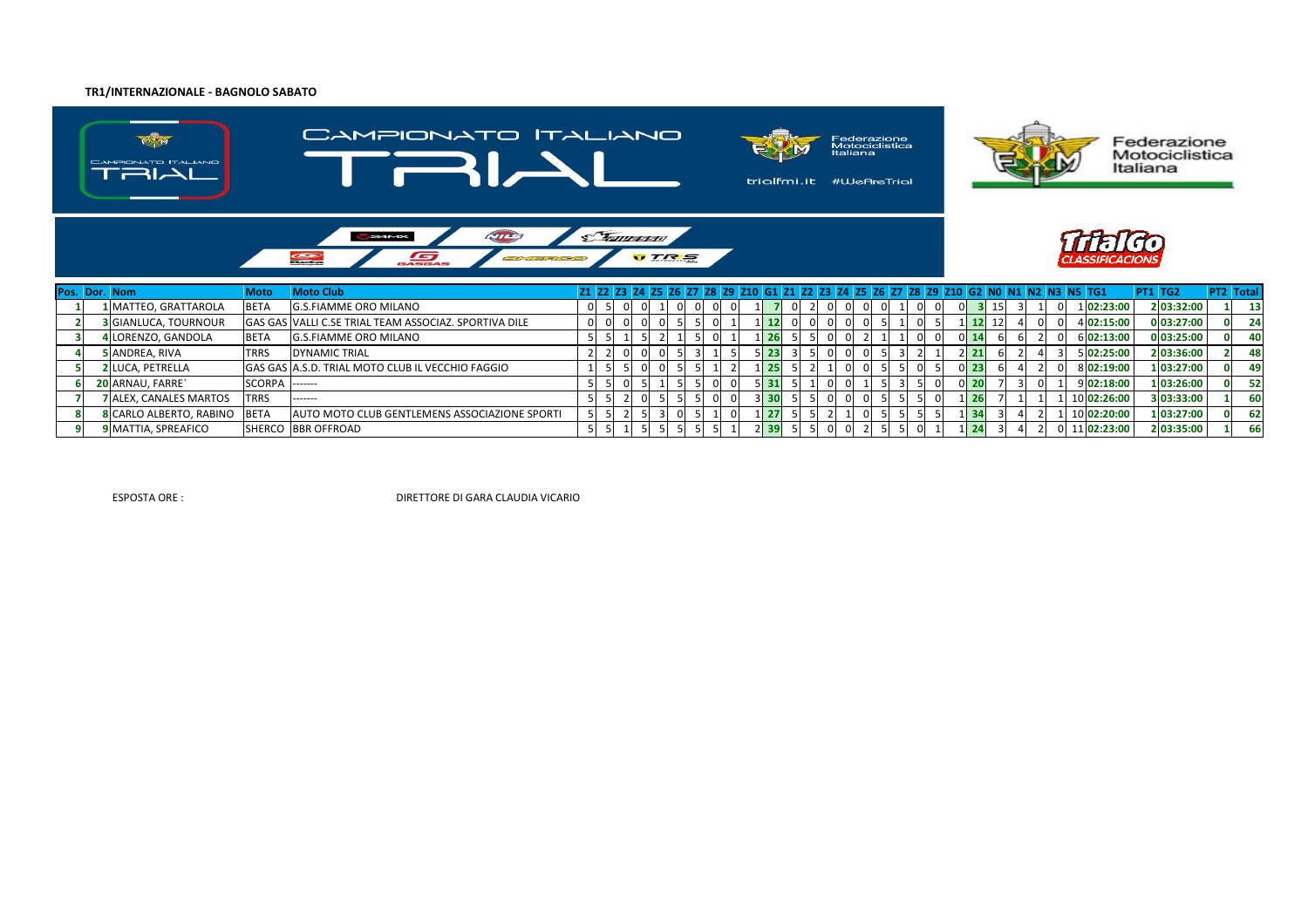### **TR1/INTERNAZIONALE - BAGNOLO SABATO**



|  | Pos. Dor. Nom                 | Moto              | <b>Moto Club</b>                                      |  |  |  |  |                   |  |                |    |  |                 |  |  | 21 22 23 24 25 26 27 28 29 210 61 21 22 23 24 25 26 27 28 29 210 62 NO N1 N2 N3 N5 TG1 | <b>PT1 TG2</b> | <b>PT2 Total</b> |
|--|-------------------------------|-------------------|-------------------------------------------------------|--|--|--|--|-------------------|--|----------------|----|--|-----------------|--|--|----------------------------------------------------------------------------------------|----------------|------------------|
|  | 1 MATTEO, GRATTAROLA          | <b>BETA</b>       | G.S.FIAMME ORO MILANO                                 |  |  |  |  |                   |  | $\Omega$       |    |  | ΟI              |  |  | 1 02:23:00                                                                             | 2 03:32:00     | 13               |
|  | <b>3</b> GIANLUCA, TOURNOUR   |                   | GAS GAS VALLI C.SE TRIAL TEAM ASSOCIAZ. SPORTIVA DILE |  |  |  |  |                   |  | 01             |    |  |                 |  |  | 4 02:15:00                                                                             | 0 03:27:00     | 24               |
|  | LIORENZO, GANDOLA             | <b>BETA</b>       | <b>G.S.FIAMME ORO MILANO</b>                          |  |  |  |  | 26                |  | 01             |    |  |                 |  |  | 6 02:13:00                                                                             | 0 03:25:00     | 40               |
|  | 5 ANDREA, RIVA                | <b>TRRS</b>       | <b>DYNAMIC TRIAL</b>                                  |  |  |  |  | । 23।             |  | $\Omega$       |    |  |                 |  |  | 5 02:25:00                                                                             | 2 03:36:00     | 48               |
|  | <b>2 LUCA, PETRELLA</b>       |                   | GAS GAS A.S.D. TRIAL MOTO CLUB IL VECCHIO FAGGIO      |  |  |  |  | 25                |  | 01             |    |  | 0 <sub>23</sub> |  |  | 8 02:19:00                                                                             | 1 03:27:00     | 49               |
|  | 20 ARNAU, FARRE`              | $SCORPA$ $ -----$ |                                                       |  |  |  |  | $5$   31          |  | 0              | 21 |  | OI 20           |  |  | 9 02:18:00                                                                             | 1 03:26:00     | 52               |
|  | <b>7 ALEX. CANALES MARTOS</b> | <b>TRRS</b>       | -------                                               |  |  |  |  | 330               |  | $\overline{0}$ |    |  |                 |  |  | 10 02:26:00                                                                            | 3 03:33:00     | 60               |
|  | 8 CARLO ALBERTO, RABINO       | <b>BETA</b>       | AUTO MOTO CLUB GENTLEMENS ASSOCIAZIONE SPORTI         |  |  |  |  | 27                |  |                |    |  | LI 34           |  |  | 10 02:20:00                                                                            | 1 03:27:00     | 62               |
|  | <b>9 MATTIA, SPREAFICO</b>    |                   | SHERCO BBR OFFROAD                                    |  |  |  |  | $2 \overline{39}$ |  | $\Omega$       |    |  |                 |  |  | 11 02:23:00                                                                            | 2 03:35:00     | 66               |

ESPOSTA ORE :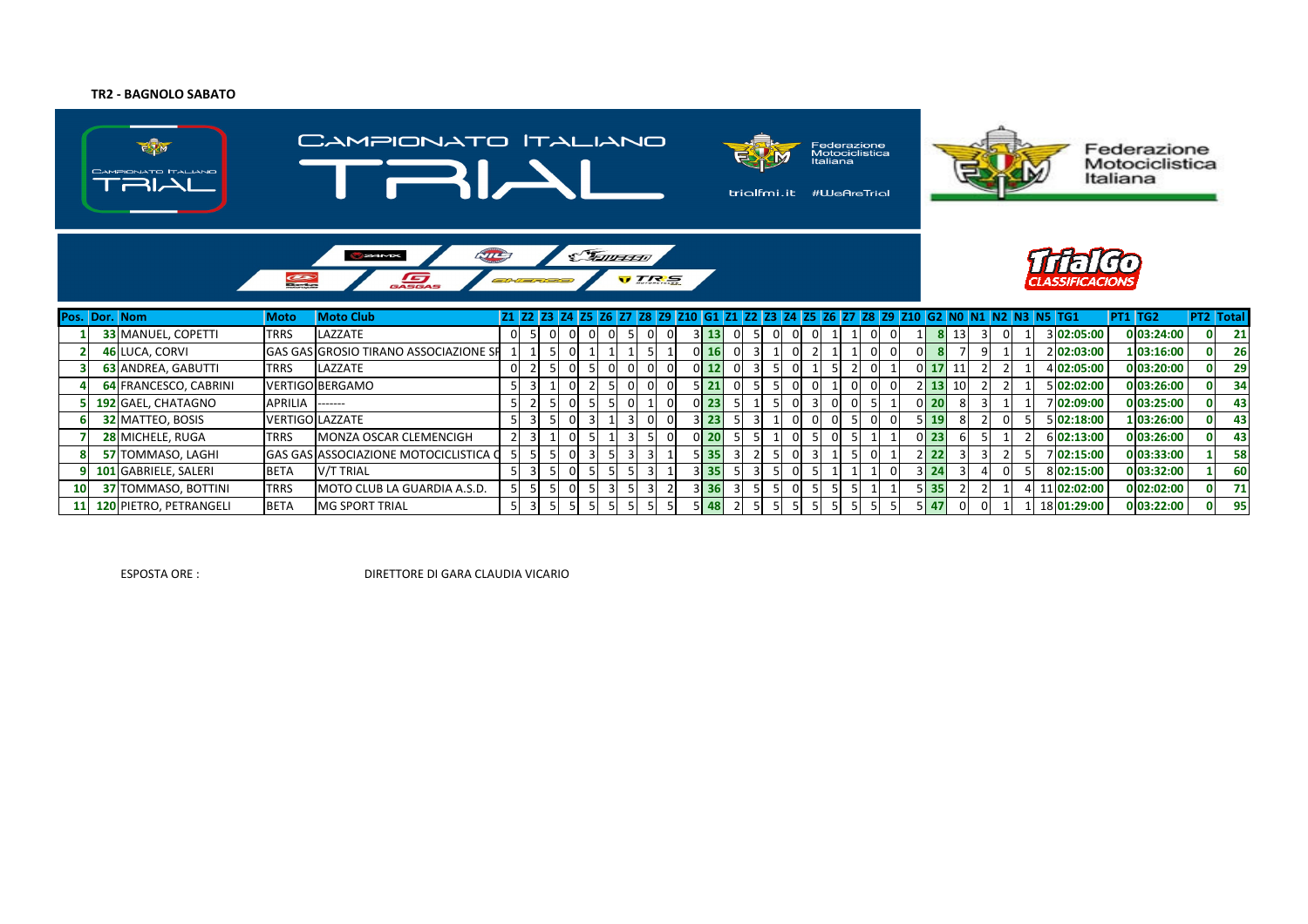## **TR2 - BAGNOLO SABATO**



ESPOSTA ORE :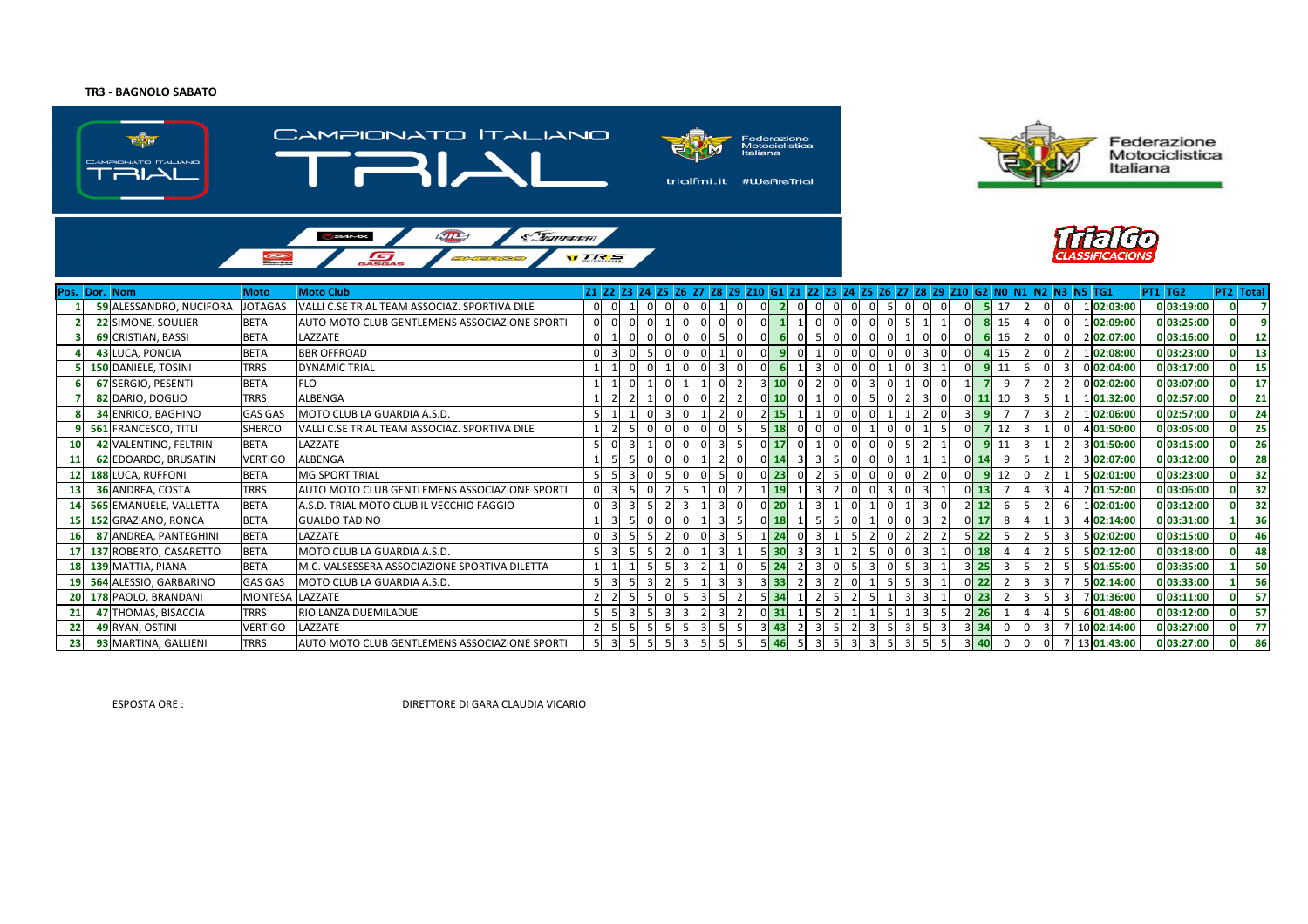### **TR3 - BAGNOLO SABATO**









|                 | Pos. Dor. Nom              | <b>Moto</b>    | <b>Moto Club</b>                              |                | Z1 Z2 Z3 Z4 Z5 Z6 Z7 Z8 Z9 Z10 G1 Z1 Z2 Z3 Z4 Z5 Z6 Z7 Z8 Z9 Z10 G2 N0 N1 N2 N3 N5 TG1 |                 |  |                            |                |                |  |        |           |  |             | <b>PT1 TG2</b> |              | <b>PT2 Total</b> |
|-----------------|----------------------------|----------------|-----------------------------------------------|----------------|----------------------------------------------------------------------------------------|-----------------|--|----------------------------|----------------|----------------|--|--------|-----------|--|-------------|----------------|--------------|------------------|
|                 | 59 ALESSANDRO, NUCIFORA    | <b>JOTAGAS</b> | VALLI C.SE TRIAL TEAM ASSOCIAZ. SPORTIVA DILE |                | $\mathbf{0}$<br>$\mathbf{0}$                                                           |                 |  |                            | $\mathbf{0}$   |                |  |        | 17        |  | 1 02:03:00  |                | 0 03:19:00   |                  |
|                 | 22 SIMONE, SOULIER         | <b>BETA</b>    | AUTO MOTO CLUB GENTLEMENS ASSOCIAZIONE SPORTI |                |                                                                                        |                 |  |                            | $\Omega$       |                |  |        | 15        |  | 1 02:09:00  |                | 0 03:25:00   |                  |
|                 | 69 CRISTIAN, BASSI         | <b>BETA</b>    | LAZZATE                                       |                |                                                                                        |                 |  |                            | $\Omega$       |                |  |        | 16        |  | 2 02:07:00  |                | 0 03:16:00   | 12               |
|                 | 43 LUCA, PONCIA            | <b>BETA</b>    | <b>BBR OFFROAD</b>                            |                |                                                                                        |                 |  |                            | 0              |                |  |        | 15        |  | 102:08:00   |                | 0 03:23:00   | 13               |
|                 | <b>150 DANIELE, TOSINI</b> | <b>TRRS</b>    | <b>DYNAMIC TRIAL</b>                          |                |                                                                                        |                 |  |                            | $\Omega$       |                |  |        |           |  | 0 02:04:00  |                | 0 03:17:00   | 15               |
|                 | 67 SERGIO, PESENTI         | <b>BETA</b>    | <b>FLO</b>                                    |                |                                                                                        |                 |  | $3$ 10                     | $\Omega$       |                |  |        |           |  | 0 02:02:00  |                | 0 03:07:00   | 17               |
|                 | 82 DARIO, DOGLIO           | <b>TRRS</b>    | <b>ALBENGA</b>                                |                |                                                                                        |                 |  | $0$ 10                     | $\Omega$       |                |  |        |           |  | 1 01:32:00  |                | 0 02:57:00   | 21               |
|                 | 34 ENRICO, BAGHINO         | <b>GAS GAS</b> | MOTO CLUB LA GUARDIA A.S.D.                   |                | $\overline{3}$                                                                         |                 |  | $2$ 15                     | $\mathbf{0}$   | $\overline{0}$ |  |        |           |  | 102:06:00   |                | 0 02:57:00   | 24               |
|                 | 9 561 FRANCESCO, TITLI     | <b>SHERCO</b>  | VALLI C.SE TRIAL TEAM ASSOCIAZ. SPORTIVA DILE |                |                                                                                        |                 |  | $5$ 18                     | $\overline{0}$ | $\mathbf{0}$   |  |        | 12        |  | 4 01:50:00  |                | 0 03:05:00   | 25               |
| 10 <sub>1</sub> | 42 VALENTINO, FELTRIN      | <b>BETA</b>    | LAZZATE                                       |                |                                                                                        |                 |  | $0$ 17                     | $\mathbf 0$    | $\mathbf 0$    |  |        |           |  | 3 01:50:00  |                | 0 03:15:00   | 26               |
|                 | 62 EDOARDO, BRUSATIN       | <b>VERTIGO</b> | ALBENGA                                       |                |                                                                                        |                 |  | $0$ 14                     |                |                |  | $0$ 14 |           |  | 3 02:07:00  |                | $0$ 03:12:00 | 28               |
|                 | 188 LUCA, RUFFONI          | <b>BETA</b>    | <b>MG SPORT TRIAL</b>                         |                |                                                                                        |                 |  | 23                         |                |                |  |        | 12        |  | 02:01:00    |                | 0 03:23:00   | 32               |
| 13 <sup>1</sup> | 36 ANDREA, COSTA           | <b>TRRS</b>    | AUTO MOTO CLUB GENTLEMENS ASSOCIAZIONE SPORTI |                |                                                                                        |                 |  | 19                         |                |                |  | $0$ 13 |           |  | 2 01:52:00  |                | 0 03:06:00   | 32               |
|                 | 14 565 EMANUELE, VALLETTA  | <b>BETA</b>    | A.S.D. TRIAL MOTO CLUB IL VECCHIO FAGGIO      |                |                                                                                        |                 |  | 0 20                       |                |                |  |        | 12        |  | 102:01:00   |                | 0 03:12:00   | 32               |
|                 | 15 152 GRAZIANO, RONCA     | <b>BETA</b>    | <b>GUALDO TADINO</b>                          |                |                                                                                        |                 |  | $0$ 18                     |                |                |  |        | <b>17</b> |  | 4 02:14:00  |                | 0 03:31:00   | 36               |
| <b>16</b>       | 87 ANDREA, PANTEGHINI      | <b>BETA</b>    | LAZZATE                                       |                |                                                                                        |                 |  | 24                         |                |                |  |        | 22        |  | 5 02:02:00  |                | 0 03:15:00   | 46               |
| 17              | 137 ROBERTO, CASARETTO     | <b>BETA</b>    | MOTO CLUB LA GUARDIA A.S.D.                   |                |                                                                                        |                 |  | $5$ 30                     |                |                |  |        | 18        |  | 5 02:12:00  |                | 0 03:18:00   | 48               |
|                 | 18 139 MATTIA, PIANA       | <b>BETA</b>    | M.C. VALSESSERA ASSOCIAZIONE SPORTIVA DILETTA |                |                                                                                        |                 |  | $5$   24                   | $\mathbf 0$    |                |  |        | 25        |  | 5 01:55:00  |                | 0 03:35:00   | 50               |
|                 | 19 564 ALESSIO, GARBARINO  | <b>GAS GAS</b> | MOTO CLUB LA GUARDIA A.S.D.                   | $\overline{3}$ |                                                                                        | $1\overline{ }$ |  | $3 \overline{\smash{)}33}$ |                |                |  |        | -22       |  | 5 02:14:00  |                | 0 03:33:00   | 56               |
|                 | 20 178 PAOLO, BRANDANI     | <b>MONTESA</b> | LAZZATE                                       |                |                                                                                        |                 |  | 534                        |                |                |  |        | 23        |  | 7 01:36:00  |                | 0 03:11:00   | 57               |
| 21              | 47 THOMAS, BISACCIA        | TRRS           | RIO LANZA DUEMILADUE                          |                | $\mathbf{3}$                                                                           |                 |  | $0$ 31                     |                |                |  |        | 26        |  | 6 01:48:00  |                | 0 03:12:00   | 57               |
| 22              | 49 RYAN, OSTINI            | VERTIGO        | LAZZATE                                       |                |                                                                                        |                 |  | $3$ 43                     |                |                |  |        | 34        |  | 10 02:14:00 |                | 0 03:27:00   | 77               |
| 23              | 93 MARTINA, GALLIENI       | <b>TRRS</b>    | AUTO MOTO CLUB GENTLEMENS ASSOCIAZIONE SPORTI |                |                                                                                        |                 |  | $5$   46                   |                |                |  |        | 40        |  | 13 01:43:00 |                | 0 03:27:00   | 86               |

ESPOSTA ORE :